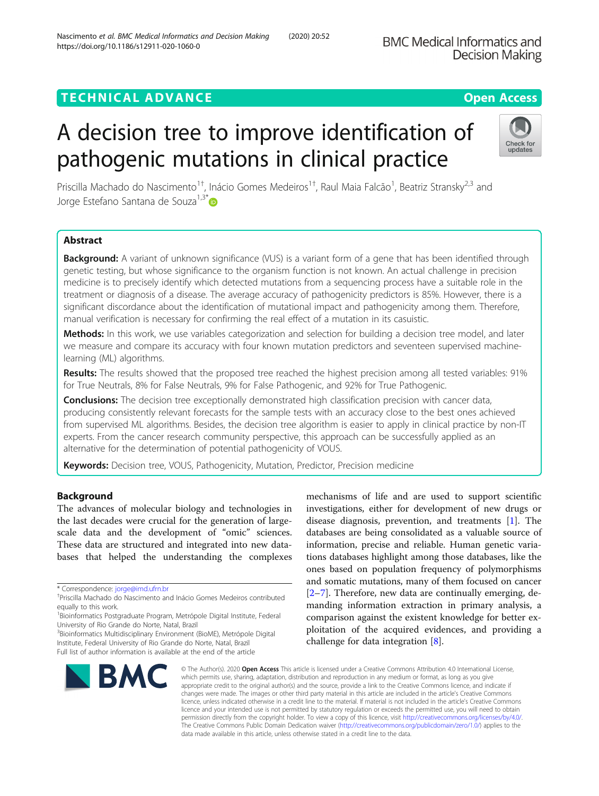## **TECHNICAL ADVANCE CONSUMING A LIGACION** COPEN ACCESS

# A decision tree to improve identification of pathogenic mutations in clinical practice

Priscilla Machado do Nascimento<sup>1†</sup>, Inácio Gomes Medeiros<sup>1†</sup>, Raul Maia Falcão<sup>1</sup>, Beatriz Stransky<sup>2,3</sup> and Jorge Estefano Santana de Souza<sup>1,3\*</sup>

## Abstract

Background: A variant of unknown significance (VUS) is a variant form of a gene that has been identified through genetic testing, but whose significance to the organism function is not known. An actual challenge in precision medicine is to precisely identify which detected mutations from a sequencing process have a suitable role in the treatment or diagnosis of a disease. The average accuracy of pathogenicity predictors is 85%. However, there is a significant discordance about the identification of mutational impact and pathogenicity among them. Therefore, manual verification is necessary for confirming the real effect of a mutation in its casuistic.

Methods: In this work, we use variables categorization and selection for building a decision tree model, and later we measure and compare its accuracy with four known mutation predictors and seventeen supervised machinelearning (ML) algorithms.

Results: The results showed that the proposed tree reached the highest precision among all tested variables: 91% for True Neutrals, 8% for False Neutrals, 9% for False Pathogenic, and 92% for True Pathogenic.

Conclusions: The decision tree exceptionally demonstrated high classification precision with cancer data, producing consistently relevant forecasts for the sample tests with an accuracy close to the best ones achieved from supervised ML algorithms. Besides, the decision tree algorithm is easier to apply in clinical practice by non-IT experts. From the cancer research community perspective, this approach can be successfully applied as an alternative for the determination of potential pathogenicity of VOUS.

Keywords: Decision tree, VOUS, Pathogenicity, Mutation, Predictor, Precision medicine

## Background

The advances of molecular biology and technologies in the last decades were crucial for the generation of largescale data and the development of "omic" sciences. These data are structured and integrated into new databases that helped the understanding the complexes

BMC

<sup>3</sup> Bioinformatics Multidisciplinary Environment (BioME), Metrópole Digital Institute, Federal University of Rio Grande do Norte, Natal, Brazil Full list of author information is available at the end of the article

information, precise and reliable. Human genetic variations databases highlight among those databases, like the ones based on population frequency of polymorphisms and somatic mutations, many of them focused on cancer [[2](#page-9-0)–[7\]](#page-10-0). Therefore, new data are continually emerging, demanding information extraction in primary analysis, a comparison against the existent knowledge for better exploitation of the acquired evidences, and providing a challenge for data integration [\[8](#page-10-0)]. © The Author(s), 2020 **Open Access** This article is licensed under a Creative Commons Attribution 4.0 International License,

mechanisms of life and are used to support scientific investigations, either for development of new drugs or disease diagnosis, prevention, and treatments [[1\]](#page-9-0). The databases are being consolidated as a valuable source of

which permits use, sharing, adaptation, distribution and reproduction in any medium or format, as long as you give appropriate credit to the original author(s) and the source, provide a link to the Creative Commons licence, and indicate if changes were made. The images or other third party material in this article are included in the article's Creative Commons licence, unless indicated otherwise in a credit line to the material. If material is not included in the article's Creative Commons licence and your intended use is not permitted by statutory regulation or exceeds the permitted use, you will need to obtain permission directly from the copyright holder. To view a copy of this licence, visit [http://creativecommons.org/licenses/by/4.0/.](http://creativecommons.org/licenses/by/4.0/) The Creative Commons Public Domain Dedication waiver [\(http://creativecommons.org/publicdomain/zero/1.0/](http://creativecommons.org/publicdomain/zero/1.0/)) applies to the data made available in this article, unless otherwise stated in a credit line to the data.







<sup>\*</sup> Correspondence: [jorge@imd.ufrn.br](mailto:jorge@imd.ufrn.br) †

Priscilla Machado do Nascimento and Inácio Gomes Medeiros contributed equally to this work.

<sup>&</sup>lt;sup>1</sup> Bioinformatics Postgraduate Program, Metrópole Digital Institute, Federal University of Rio Grande do Norte, Natal, Brazil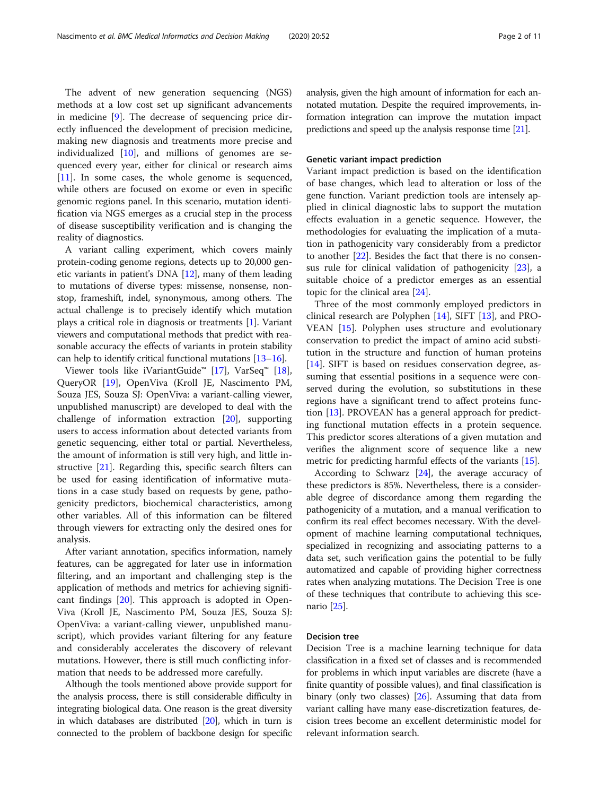The advent of new generation sequencing (NGS) methods at a low cost set up significant advancements in medicine [[9\]](#page-10-0). The decrease of sequencing price directly influenced the development of precision medicine, making new diagnosis and treatments more precise and individualized [[10\]](#page-10-0), and millions of genomes are sequenced every year, either for clinical or research aims [[11\]](#page-10-0). In some cases, the whole genome is sequenced, while others are focused on exome or even in specific genomic regions panel. In this scenario, mutation identification via NGS emerges as a crucial step in the process of disease susceptibility verification and is changing the reality of diagnostics.

A variant calling experiment, which covers mainly protein-coding genome regions, detects up to 20,000 genetic variants in patient's DNA [[12](#page-10-0)], many of them leading to mutations of diverse types: missense, nonsense, nonstop, frameshift, indel, synonymous, among others. The actual challenge is to precisely identify which mutation plays a critical role in diagnosis or treatments [[1](#page-9-0)]. Variant viewers and computational methods that predict with reasonable accuracy the effects of variants in protein stability can help to identify critical functional mutations [[13](#page-10-0)–[16](#page-10-0)].

Viewer tools like iVariantGuide™ [[17\]](#page-10-0), VarSeq™ [\[18](#page-10-0)], QueryOR [[19\]](#page-10-0), OpenViva (Kroll JE, Nascimento PM, Souza JES, Souza SJ: OpenViva: a variant-calling viewer, unpublished manuscript) are developed to deal with the challenge of information extraction [\[20\]](#page-10-0), supporting users to access information about detected variants from genetic sequencing, either total or partial. Nevertheless, the amount of information is still very high, and little instructive [[21\]](#page-10-0). Regarding this, specific search filters can be used for easing identification of informative mutations in a case study based on requests by gene, pathogenicity predictors, biochemical characteristics, among other variables. All of this information can be filtered through viewers for extracting only the desired ones for analysis.

After variant annotation, specifics information, namely features, can be aggregated for later use in information filtering, and an important and challenging step is the application of methods and metrics for achieving significant findings [[20\]](#page-10-0). This approach is adopted in Open-Viva (Kroll JE, Nascimento PM, Souza JES, Souza SJ: OpenViva: a variant-calling viewer, unpublished manuscript), which provides variant filtering for any feature and considerably accelerates the discovery of relevant mutations. However, there is still much conflicting information that needs to be addressed more carefully.

Although the tools mentioned above provide support for the analysis process, there is still considerable difficulty in integrating biological data. One reason is the great diversity in which databases are distributed [\[20\]](#page-10-0), which in turn is connected to the problem of backbone design for specific analysis, given the high amount of information for each annotated mutation. Despite the required improvements, information integration can improve the mutation impact predictions and speed up the analysis response time [\[21](#page-10-0)].

#### Genetic variant impact prediction

Variant impact prediction is based on the identification of base changes, which lead to alteration or loss of the gene function. Variant prediction tools are intensely applied in clinical diagnostic labs to support the mutation effects evaluation in a genetic sequence. However, the methodologies for evaluating the implication of a mutation in pathogenicity vary considerably from a predictor to another [\[22\]](#page-10-0). Besides the fact that there is no consensus rule for clinical validation of pathogenicity [\[23\]](#page-10-0), a suitable choice of a predictor emerges as an essential topic for the clinical area [\[24](#page-10-0)].

Three of the most commonly employed predictors in clinical research are Polyphen [\[14](#page-10-0)], SIFT [\[13\]](#page-10-0), and PRO-VEAN [[15\]](#page-10-0). Polyphen uses structure and evolutionary conservation to predict the impact of amino acid substitution in the structure and function of human proteins [[14\]](#page-10-0). SIFT is based on residues conservation degree, assuming that essential positions in a sequence were conserved during the evolution, so substitutions in these regions have a significant trend to affect proteins function [\[13\]](#page-10-0). PROVEAN has a general approach for predicting functional mutation effects in a protein sequence. This predictor scores alterations of a given mutation and verifies the alignment score of sequence like a new metric for predicting harmful effects of the variants [[15\]](#page-10-0).

According to Schwarz  $[24]$ , the average accuracy of these predictors is 85%. Nevertheless, there is a considerable degree of discordance among them regarding the pathogenicity of a mutation, and a manual verification to confirm its real effect becomes necessary. With the development of machine learning computational techniques, specialized in recognizing and associating patterns to a data set, such verification gains the potential to be fully automatized and capable of providing higher correctness rates when analyzing mutations. The Decision Tree is one of these techniques that contribute to achieving this scenario [\[25\]](#page-10-0).

## Decision tree

Decision Tree is a machine learning technique for data classification in a fixed set of classes and is recommended for problems in which input variables are discrete (have a finite quantity of possible values), and final classification is binary (only two classes) [[26](#page-10-0)]. Assuming that data from variant calling have many ease-discretization features, decision trees become an excellent deterministic model for relevant information search.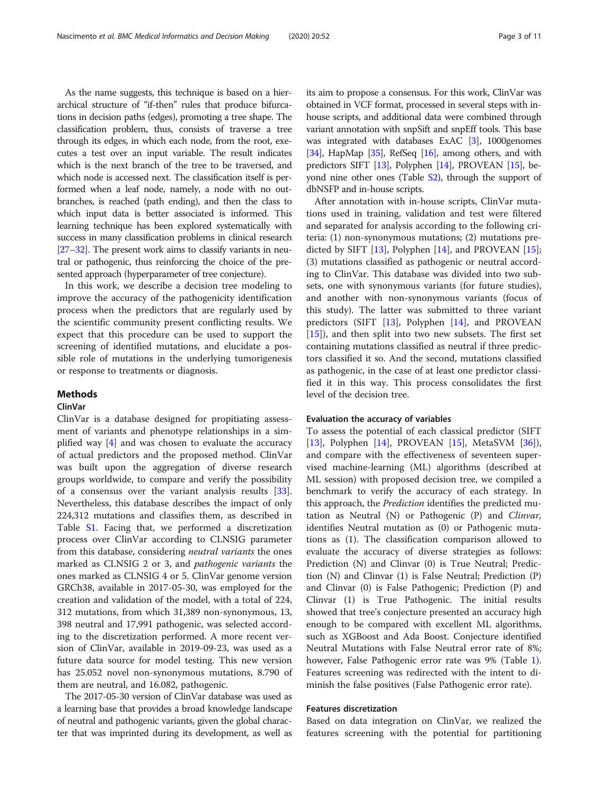As the name suggests, this technique is based on a hierarchical structure of "if-then" rules that produce bifurcations in decision paths (edges), promoting a tree shape. The classification problem, thus, consists of traverse a tree through its edges, in which each node, from the root, executes a test over an input variable. The result indicates which is the next branch of the tree to be traversed, and which node is accessed next. The classification itself is performed when a leaf node, namely, a node with no outbranches, is reached (path ending), and then the class to which input data is better associated is informed. This learning technique has been explored systematically with success in many classification problems in clinical research [[27](#page-10-0)–[32](#page-10-0)]. The present work aims to classify variants in neutral or pathogenic, thus reinforcing the choice of the presented approach (hyperparameter of tree conjecture).

In this work, we describe a decision tree modeling to improve the accuracy of the pathogenicity identification process when the predictors that are regularly used by the scientific community present conflicting results. We expect that this procedure can be used to support the screening of identified mutations, and elucidate a possible role of mutations in the underlying tumorigenesis or response to treatments or diagnosis.

## Methods

## ClinVar

ClinVar is a database designed for propitiating assessment of variants and phenotype relationships in a simplified way [\[4](#page-9-0)] and was chosen to evaluate the accuracy of actual predictors and the proposed method. ClinVar was built upon the aggregation of diverse research groups worldwide, to compare and verify the possibility of a consensus over the variant analysis results [\[33](#page-10-0)]. Nevertheless, this database describes the impact of only 224,312 mutations and classifies them, as described in Table [S1](#page-9-0). Facing that, we performed a discretization process over ClinVar according to CLNSIG parameter from this database, considering neutral variants the ones marked as CLNSIG 2 or 3, and pathogenic variants the ones marked as CLNSIG 4 or 5. ClinVar genome version GRCh38, available in 2017-05-30, was employed for the creation and validation of the model, with a total of 224, 312 mutations, from which 31,389 non-synonymous, 13, 398 neutral and 17,991 pathogenic, was selected according to the discretization performed. A more recent version of ClinVar, available in 2019-09-23, was used as a future data source for model testing. This new version has 25.052 novel non-synonymous mutations, 8.790 of them are neutral, and 16.082, pathogenic.

The 2017-05-30 version of ClinVar database was used as a learning base that provides a broad knowledge landscape of neutral and pathogenic variants, given the global character that was imprinted during its development, as well as its aim to propose a consensus. For this work, ClinVar was obtained in VCF format, processed in several steps with inhouse scripts, and additional data were combined through variant annotation with snpSift and snpEff tools. This base was integrated with databases ExAC [\[3\]](#page-9-0), 1000genomes [[34](#page-10-0)], HapMap [[35](#page-10-0)], RefSeq  $[16]$  $[16]$  $[16]$ , among others, and with predictors SIFT [[13](#page-10-0)], Polyphen [\[14](#page-10-0)], PROVEAN [\[15\]](#page-10-0), beyond nine other ones (Table [S2](#page-9-0)), through the support of dbNSFP and in-house scripts.

After annotation with in-house scripts, ClinVar mutations used in training, validation and test were filtered and separated for analysis according to the following criteria: (1) non-synonymous mutations; (2) mutations predicted by SIFT [[13\]](#page-10-0), Polyphen [[14](#page-10-0)], and PROVEAN [\[15](#page-10-0)]; (3) mutations classified as pathogenic or neutral according to ClinVar. This database was divided into two subsets, one with synonymous variants (for future studies), and another with non-synonymous variants (focus of this study). The latter was submitted to three variant predictors (SIFT [[13](#page-10-0)], Polyphen [\[14\]](#page-10-0), and PROVEAN [[15\]](#page-10-0)), and then split into two new subsets. The first set containing mutations classified as neutral if three predictors classified it so. And the second, mutations classified as pathogenic, in the case of at least one predictor classified it in this way. This process consolidates the first level of the decision tree.

#### Evaluation the accuracy of variables

To assess the potential of each classical predictor (SIFT [[13\]](#page-10-0), Polyphen [[14](#page-10-0)], PROVEAN [\[15](#page-10-0)], MetaSVM [\[36](#page-10-0)]), and compare with the effectiveness of seventeen supervised machine-learning (ML) algorithms (described at ML session) with proposed decision tree, we compiled a benchmark to verify the accuracy of each strategy. In this approach, the *Prediction* identifies the predicted mutation as Neutral (N) or Pathogenic (P) and Clinvar, identifies Neutral mutation as (0) or Pathogenic mutations as (1). The classification comparison allowed to evaluate the accuracy of diverse strategies as follows: Prediction (N) and Clinvar (0) is True Neutral; Prediction (N) and Clinvar (1) is False Neutral; Prediction (P) and Clinvar (0) is False Pathogenic; Prediction (P) and Clinvar (1) is True Pathogenic. The initial results showed that tree's conjecture presented an accuracy high enough to be compared with excellent ML algorithms, such as XGBoost and Ada Boost. Conjecture identified Neutral Mutations with False Neutral error rate of 8%; however, False Pathogenic error rate was 9% (Table [1](#page-3-0)). Features screening was redirected with the intent to diminish the false positives (False Pathogenic error rate).

## Features discretization

Based on data integration on ClinVar, we realized the features screening with the potential for partitioning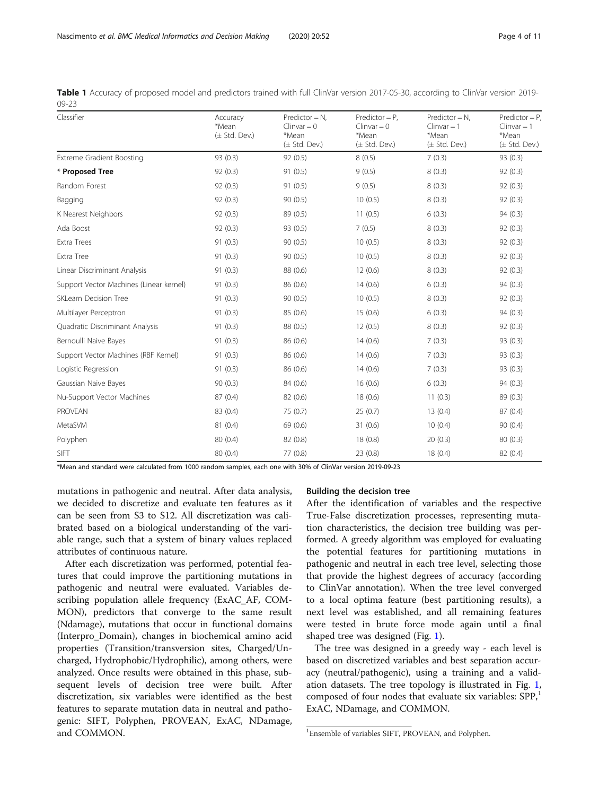| Classifier                              | Accuracy<br>*Mean<br>$(\pm$ Std. Dev.) | $Predictor = N,$<br>$Clinvar = 0$<br>*Mean<br>$(\pm$ Std. Dev.) | $Predictor = P$ ,<br>$Clinvar = 0$<br>*Mean<br>$(\pm$ Std. Dev.) | $Predictor = N,$<br>$Clinvar = 1$<br>*Mean<br>$(\pm$ Std. Dev.) | $Predictor = P$ ,<br>$Clinvar = 1$<br>*Mean<br>$(\pm$ Std. Dev.)<br>93 (0.3) |  |  |
|-----------------------------------------|----------------------------------------|-----------------------------------------------------------------|------------------------------------------------------------------|-----------------------------------------------------------------|------------------------------------------------------------------------------|--|--|
| Extreme Gradient Boosting               | 93 (0.3)                               | 92(0.5)                                                         | 8(0.5)                                                           | 7(0.3)                                                          |                                                                              |  |  |
| * Proposed Tree                         | 92(0.3)                                | 91(0.5)                                                         | 9(0.5)                                                           | 8(0.3)                                                          | 92(0.3)                                                                      |  |  |
| Random Forest                           | 92(0.3)                                | 91(0.5)                                                         | 9(0.5)                                                           | 8(0.3)                                                          | 92(0.3)                                                                      |  |  |
| Bagging                                 | 92(0.3)                                | 90(0.5)                                                         | 10(0.5)                                                          | 8(0.3)                                                          | 92(0.3)                                                                      |  |  |
| K Nearest Neighbors                     | 92(0.3)                                | 89 (0.5)                                                        | 11(0.5)                                                          | 6(0.3)                                                          | 94 (0.3)                                                                     |  |  |
| Ada Boost                               | 92(0.3)                                | 93 (0.5)                                                        | 7(0.5)                                                           | 8(0.3)                                                          | 92(0.3)                                                                      |  |  |
| Extra Trees                             | 91(0.3)                                | 90(0.5)                                                         | 10(0.5)                                                          | 8(0.3)                                                          | 92(0.3)                                                                      |  |  |
| Extra Tree                              | 91(0.3)                                | 90(0.5)                                                         | 10(0.5)                                                          | 8(0.3)                                                          | 92(0.3)                                                                      |  |  |
| Linear Discriminant Analysis            | 91(0.3)                                | 88 (0.6)                                                        | 12(0.6)                                                          | 8(0.3)                                                          | 92(0.3)                                                                      |  |  |
| Support Vector Machines (Linear kernel) | 91(0.3)                                | 86 (0.6)                                                        | 14(0.6)                                                          | 6(0.3)                                                          | 94 (0.3)                                                                     |  |  |
| SKLearn Decision Tree                   | 91(0.3)                                | 90(0.5)                                                         | 10(0.5)                                                          | 8(0.3)                                                          | 92(0.3)                                                                      |  |  |
| Multilayer Perceptron                   | 91(0.3)                                | 85 (0.6)                                                        | 15(0.6)                                                          | 6(0.3)                                                          | 94 (0.3)                                                                     |  |  |
| Quadratic Discriminant Analysis         | 91(0.3)                                | 88 (0.5)                                                        | 12(0.5)                                                          | 8(0.3)                                                          | 92(0.3)                                                                      |  |  |
| Bernoulli Naive Bayes                   | 91(0.3)                                | 86 (0.6)                                                        | 14(0.6)                                                          | 7(0.3)                                                          | 93(0.3)                                                                      |  |  |
| Support Vector Machines (RBF Kernel)    | 91(0.3)                                | 86 (0.6)                                                        | 14(0.6)                                                          | 7(0.3)                                                          | 93 (0.3)                                                                     |  |  |
| Logistic Regression                     | 91(0.3)                                | 86 (0.6)                                                        | 14(0.6)                                                          | 7(0.3)                                                          | 93 (0.3)                                                                     |  |  |
| Gaussian Naive Bayes                    | 90(0.3)                                | 84 (0.6)                                                        | 16(0.6)                                                          | 6(0.3)                                                          | 94 (0.3)                                                                     |  |  |
| Nu-Support Vector Machines              | 87 (0.4)                               | 82 (0.6)                                                        | 18(0.6)                                                          | 11(0.3)                                                         | 89 (0.3)                                                                     |  |  |
| PROVEAN                                 | 83 (0.4)                               | 75 (0.7)                                                        | 25(0.7)                                                          | 13(0.4)                                                         | 87 (0.4)                                                                     |  |  |
| MetaSVM                                 | 81(0.4)                                | 69 (0.6)                                                        | 31 (0.6)                                                         | 10(0.4)                                                         | 90(0.4)                                                                      |  |  |
| Polyphen                                | 80 (0.4)                               | 82 (0.8)                                                        | 18(0.8)                                                          | 20(0.3)                                                         | 80(0.3)                                                                      |  |  |
| SIFT                                    | 80 (0.4)                               | 77 (0.8)                                                        | 23(0.8)                                                          | 18(0.4)                                                         | 82 (0.4)                                                                     |  |  |

<span id="page-3-0"></span>

|           | Table 1 Accuracy of proposed model and predictors trained with full ClinVar version 2017-05-30, according to ClinVar version 2019- |  |  |  |  |  |  |
|-----------|------------------------------------------------------------------------------------------------------------------------------------|--|--|--|--|--|--|
| $09 - 23$ |                                                                                                                                    |  |  |  |  |  |  |

\*Mean and standard were calculated from 1000 random samples, each one with 30% of ClinVar version 2019-09-23

mutations in pathogenic and neutral. After data analysis, we decided to discretize and evaluate ten features as it can be seen from S3 to S12. All discretization was calibrated based on a biological understanding of the variable range, such that a system of binary values replaced attributes of continuous nature.

After each discretization was performed, potential features that could improve the partitioning mutations in pathogenic and neutral were evaluated. Variables describing population allele frequency (ExAC\_AF, COM-MON), predictors that converge to the same result (Ndamage), mutations that occur in functional domains (Interpro\_Domain), changes in biochemical amino acid properties (Transition/transversion sites, Charged/Uncharged, Hydrophobic/Hydrophilic), among others, were analyzed. Once results were obtained in this phase, subsequent levels of decision tree were built. After discretization, six variables were identified as the best features to separate mutation data in neutral and pathogenic: SIFT, Polyphen, PROVEAN, ExAC, NDamage, and COMMON.

#### Building the decision tree

After the identification of variables and the respective True-False discretization processes, representing mutation characteristics, the decision tree building was performed. A greedy algorithm was employed for evaluating the potential features for partitioning mutations in pathogenic and neutral in each tree level, selecting those that provide the highest degrees of accuracy (according to ClinVar annotation). When the tree level converged to a local optima feature (best partitioning results), a next level was established, and all remaining features were tested in brute force mode again until a final shaped tree was designed (Fig. [1\)](#page-4-0).

The tree was designed in a greedy way - each level is based on discretized variables and best separation accuracy (neutral/pathogenic), using a training and a validation datasets. The tree topology is illustrated in Fig. [1](#page-4-0), composed of four nodes that evaluate six variables: SPP,<sup>1</sup> ExAC, NDamage, and COMMON.

<sup>&</sup>lt;sup>1</sup>Ensemble of variables SIFT, PROVEAN, and Polyphen.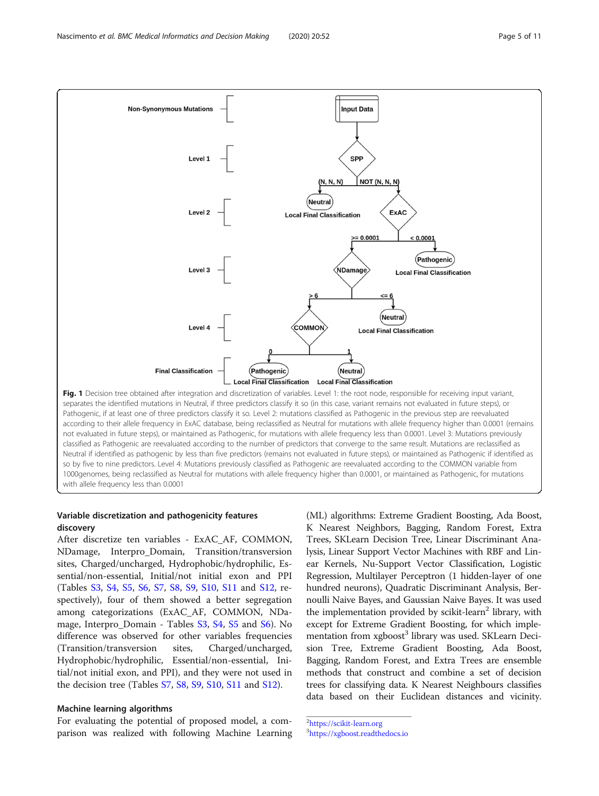<span id="page-4-0"></span>

according to their allele frequency in ExAC database, being reclassified as Neutral for mutations with allele frequency higher than 0.0001 (remains not evaluated in future steps), or maintained as Pathogenic, for mutations with allele frequency less than 0.0001. Level 3: Mutations previously classified as Pathogenic are reevaluated according to the number of predictors that converge to the same result. Mutations are reclassified as Neutral if identified as pathogenic by less than five predictors (remains not evaluated in future steps), or maintained as Pathogenic if identified as so by five to nine predictors. Level 4: Mutations previously classified as Pathogenic are reevaluated according to the COMMON variable from 1000genomes, being reclassified as Neutral for mutations with allele frequency higher than 0.0001, or maintained as Pathogenic, for mutations with allele frequency less than 0.0001

## Variable discretization and pathogenicity features discovery

After discretize ten variables - ExAC\_AF, COMMON, NDamage, Interpro\_Domain, Transition/transversion sites, Charged/uncharged, Hydrophobic/hydrophilic, Essential/non-essential, Initial/not initial exon and PPI (Tables [S3](#page-9-0), [S4,](#page-9-0) [S5,](#page-9-0) [S6](#page-9-0), [S7](#page-9-0), [S8,](#page-9-0) [S9,](#page-9-0) [S10](#page-9-0), [S11](#page-9-0) and [S12](#page-9-0), respectively), four of them showed a better segregation among categorizations (ExAC\_AF, COMMON, NDamage, Interpro\_Domain - Tables [S3](#page-9-0), [S4,](#page-9-0) [S5](#page-9-0) and [S6](#page-9-0)). No difference was observed for other variables frequencies (Transition/transversion sites, Charged/uncharged, Hydrophobic/hydrophilic, Essential/non-essential, Initial/not initial exon, and PPI), and they were not used in the decision tree (Tables [S7](#page-9-0), [S8](#page-9-0), [S9](#page-9-0), [S10](#page-9-0), [S11](#page-9-0) and [S12\)](#page-9-0).

### Machine learning algorithms

For evaluating the potential of proposed model, a comparison was realized with following Machine Learning

(ML) algorithms: Extreme Gradient Boosting, Ada Boost, K Nearest Neighbors, Bagging, Random Forest, Extra Trees, SKLearn Decision Tree, Linear Discriminant Analysis, Linear Support Vector Machines with RBF and Linear Kernels, Nu-Support Vector Classification, Logistic Regression, Multilayer Perceptron (1 hidden-layer of one hundred neurons), Quadratic Discriminant Analysis, Bernoulli Naive Bayes, and Gaussian Naive Bayes. It was used the implementation provided by scikit-learn<sup>2</sup> library, with except for Extreme Gradient Boosting, for which implementation from xgboost<sup>3</sup> library was used. SKLearn Decision Tree, Extreme Gradient Boosting, Ada Boost, Bagging, Random Forest, and Extra Trees are ensemble methods that construct and combine a set of decision trees for classifying data. K Nearest Neighbours classifies data based on their Euclidean distances and vicinity.

2 <https://scikit-learn.org> 3 <https://xgboost.readthedocs.io>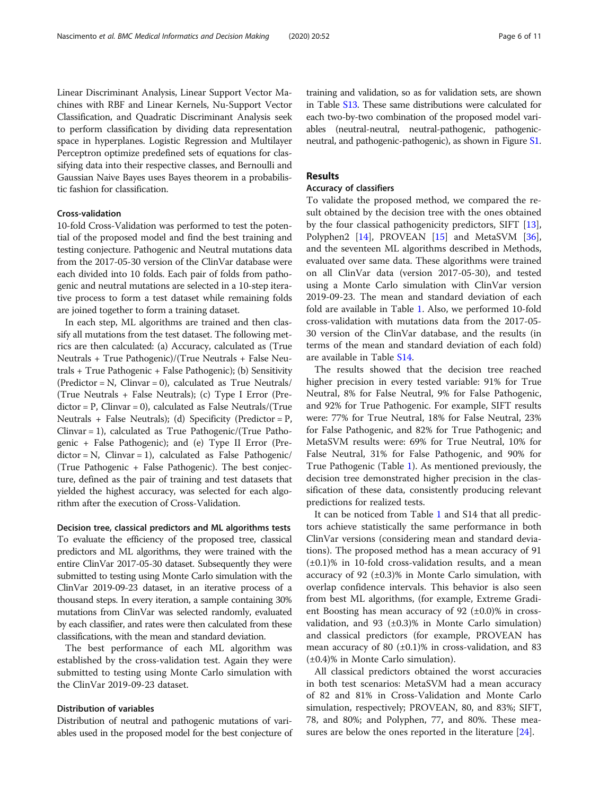Linear Discriminant Analysis, Linear Support Vector Machines with RBF and Linear Kernels, Nu-Support Vector Classification, and Quadratic Discriminant Analysis seek to perform classification by dividing data representation space in hyperplanes. Logistic Regression and Multilayer Perceptron optimize predefined sets of equations for classifying data into their respective classes, and Bernoulli and Gaussian Naive Bayes uses Bayes theorem in a probabilistic fashion for classification.

## Cross-validation

10-fold Cross-Validation was performed to test the potential of the proposed model and find the best training and testing conjecture. Pathogenic and Neutral mutations data from the 2017-05-30 version of the ClinVar database were each divided into 10 folds. Each pair of folds from pathogenic and neutral mutations are selected in a 10-step iterative process to form a test dataset while remaining folds are joined together to form a training dataset.

In each step, ML algorithms are trained and then classify all mutations from the test dataset. The following metrics are then calculated: (a) Accuracy, calculated as (True Neutrals + True Pathogenic)/(True Neutrals + False Neutrals + True Pathogenic + False Pathogenic); (b) Sensitivity  $(Predictor = N, Clinvar = 0), calculated as True Neutrals/$ (True Neutrals + False Neutrals); (c) Type I Error (Predictor = P, Clinvar = 0), calculated as False Neutrals/(True Neutrals + False Neutrals); (d) Specificity (Predictor =  $P$ , Clinvar = 1), calculated as True Pathogenic/(True Pathogenic + False Pathogenic); and (e) Type II Error (Pre $dictor = N$ ,  $Clinvar = 1$ ), calculated as False Pathogenic/ (True Pathogenic + False Pathogenic). The best conjecture, defined as the pair of training and test datasets that yielded the highest accuracy, was selected for each algorithm after the execution of Cross-Validation.

Decision tree, classical predictors and ML algorithms tests To evaluate the efficiency of the proposed tree, classical predictors and ML algorithms, they were trained with the entire ClinVar 2017-05-30 dataset. Subsequently they were submitted to testing using Monte Carlo simulation with the ClinVar 2019-09-23 dataset, in an iterative process of a thousand steps. In every iteration, a sample containing 30% mutations from ClinVar was selected randomly, evaluated by each classifier, and rates were then calculated from these classifications, with the mean and standard deviation.

The best performance of each ML algorithm was established by the cross-validation test. Again they were submitted to testing using Monte Carlo simulation with the ClinVar 2019-09-23 dataset.

## Distribution of variables

Distribution of neutral and pathogenic mutations of variables used in the proposed model for the best conjecture of training and validation, so as for validation sets, are shown in Table [S13](#page-9-0). These same distributions were calculated for each two-by-two combination of the proposed model variables (neutral-neutral, neutral-pathogenic, pathogenicneutral, and pathogenic-pathogenic), as shown in Figure [S1](#page-9-0).

## Results

## Accuracy of classifiers

To validate the proposed method, we compared the result obtained by the decision tree with the ones obtained by the four classical pathogenicity predictors, SIFT [\[13](#page-10-0)], Polyphen2 [[14](#page-10-0)], PROVEAN [[15](#page-10-0)] and MetaSVM [\[36](#page-10-0)], and the seventeen ML algorithms described in Methods, evaluated over same data. These algorithms were trained on all ClinVar data (version 2017-05-30), and tested using a Monte Carlo simulation with ClinVar version 2019-09-23. The mean and standard deviation of each fold are available in Table [1.](#page-3-0) Also, we performed 10-fold cross-validation with mutations data from the 2017-05- 30 version of the ClinVar database, and the results (in terms of the mean and standard deviation of each fold) are available in Table [S14.](#page-9-0)

The results showed that the decision tree reached higher precision in every tested variable: 91% for True Neutral, 8% for False Neutral, 9% for False Pathogenic, and 92% for True Pathogenic. For example, SIFT results were: 77% for True Neutral, 18% for False Neutral, 23% for False Pathogenic, and 82% for True Pathogenic; and MetaSVM results were: 69% for True Neutral, 10% for False Neutral, 31% for False Pathogenic, and 90% for True Pathogenic (Table [1\)](#page-3-0). As mentioned previously, the decision tree demonstrated higher precision in the classification of these data, consistently producing relevant predictions for realized tests.

It can be noticed from Table [1](#page-3-0) and S14 that all predictors achieve statistically the same performance in both ClinVar versions (considering mean and standard deviations). The proposed method has a mean accuracy of 91 (±0.1)% in 10-fold cross-validation results, and a mean accuracy of 92  $(\pm 0.3)$ % in Monte Carlo simulation, with overlap confidence intervals. This behavior is also seen from best ML algorithms, (for example, Extreme Gradient Boosting has mean accuracy of 92  $(\pm 0.0)$ % in crossvalidation, and 93  $(\pm 0.3)$ % in Monte Carlo simulation) and classical predictors (for example, PROVEAN has mean accuracy of 80  $(\pm 0.1)$ % in cross-validation, and 83 (±0.4)% in Monte Carlo simulation).

All classical predictors obtained the worst accuracies in both test scenarios: MetaSVM had a mean accuracy of 82 and 81% in Cross-Validation and Monte Carlo simulation, respectively; PROVEAN, 80, and 83%; SIFT, 78, and 80%; and Polyphen, 77, and 80%. These mea-sures are below the ones reported in the literature [\[24](#page-10-0)].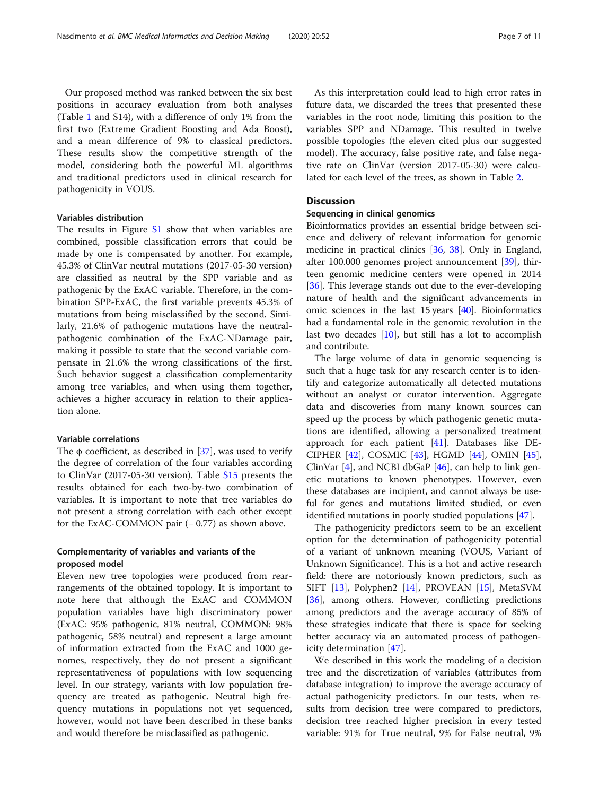Our proposed method was ranked between the six best positions in accuracy evaluation from both analyses (Table [1](#page-3-0) and S14), with a difference of only 1% from the first two (Extreme Gradient Boosting and Ada Boost), and a mean difference of 9% to classical predictors. These results show the competitive strength of the model, considering both the powerful ML algorithms and traditional predictors used in clinical research for pathogenicity in VOUS.

## Variables distribution

The results in Figure [S1](#page-9-0) show that when variables are combined, possible classification errors that could be made by one is compensated by another. For example, 45.3% of ClinVar neutral mutations (2017-05-30 version) are classified as neutral by the SPP variable and as pathogenic by the ExAC variable. Therefore, in the combination SPP-ExAC, the first variable prevents 45.3% of mutations from being misclassified by the second. Similarly, 21.6% of pathogenic mutations have the neutralpathogenic combination of the ExAC-NDamage pair, making it possible to state that the second variable compensate in 21.6% the wrong classifications of the first. Such behavior suggest a classification complementarity among tree variables, and when using them together, achieves a higher accuracy in relation to their application alone.

## Variable correlations

The  $\phi$  coefficient, as described in [\[37\]](#page-10-0), was used to verify the degree of correlation of the four variables according to ClinVar (2017-05-30 version). Table [S15](#page-9-0) presents the results obtained for each two-by-two combination of variables. It is important to note that tree variables do not present a strong correlation with each other except for the ExAC-COMMON pair  $(-0.77)$  as shown above.

## Complementarity of variables and variants of the proposed model

Eleven new tree topologies were produced from rearrangements of the obtained topology. It is important to note here that although the ExAC and COMMON population variables have high discriminatory power (ExAC: 95% pathogenic, 81% neutral, COMMON: 98% pathogenic, 58% neutral) and represent a large amount of information extracted from the ExAC and 1000 genomes, respectively, they do not present a significant representativeness of populations with low sequencing level. In our strategy, variants with low population frequency are treated as pathogenic. Neutral high frequency mutations in populations not yet sequenced, however, would not have been described in these banks and would therefore be misclassified as pathogenic.

As this interpretation could lead to high error rates in future data, we discarded the trees that presented these variables in the root node, limiting this position to the variables SPP and NDamage. This resulted in twelve possible topologies (the eleven cited plus our suggested model). The accuracy, false positive rate, and false negative rate on ClinVar (version 2017-05-30) were calculated for each level of the trees, as shown in Table [2](#page-7-0).

## **Discussion**

## Sequencing in clinical genomics

Bioinformatics provides an essential bridge between science and delivery of relevant information for genomic medicine in practical clinics [[36,](#page-10-0) [38\]](#page-10-0). Only in England, after 100.000 genomes project announcement [[39](#page-10-0)], thirteen genomic medicine centers were opened in 2014 [[36\]](#page-10-0). This leverage stands out due to the ever-developing nature of health and the significant advancements in omic sciences in the last 15 years [[40\]](#page-10-0). Bioinformatics had a fundamental role in the genomic revolution in the last two decades [[10\]](#page-10-0), but still has a lot to accomplish and contribute.

The large volume of data in genomic sequencing is such that a huge task for any research center is to identify and categorize automatically all detected mutations without an analyst or curator intervention. Aggregate data and discoveries from many known sources can speed up the process by which pathogenic genetic mutations are identified, allowing a personalized treatment approach for each patient [[41](#page-10-0)]. Databases like DE-CIPHER [[42](#page-10-0)], COSMIC [[43](#page-10-0)], HGMD [\[44](#page-10-0)], OMIN [\[45](#page-10-0)], ClinVar  $[4]$  $[4]$ , and NCBI dbGaP  $[46]$  $[46]$ , can help to link genetic mutations to known phenotypes. However, even these databases are incipient, and cannot always be useful for genes and mutations limited studied, or even identified mutations in poorly studied populations [[47](#page-10-0)].

The pathogenicity predictors seem to be an excellent option for the determination of pathogenicity potential of a variant of unknown meaning (VOUS, Variant of Unknown Significance). This is a hot and active research field: there are notoriously known predictors, such as SIFT [[13](#page-10-0)], Polyphen2 [\[14\]](#page-10-0), PROVEAN [[15\]](#page-10-0), MetaSVM [[36\]](#page-10-0), among others. However, conflicting predictions among predictors and the average accuracy of 85% of these strategies indicate that there is space for seeking better accuracy via an automated process of pathogenicity determination [[47](#page-10-0)].

We described in this work the modeling of a decision tree and the discretization of variables (attributes from database integration) to improve the average accuracy of actual pathogenicity predictors. In our tests, when results from decision tree were compared to predictors, decision tree reached higher precision in every tested variable: 91% for True neutral, 9% for False neutral, 9%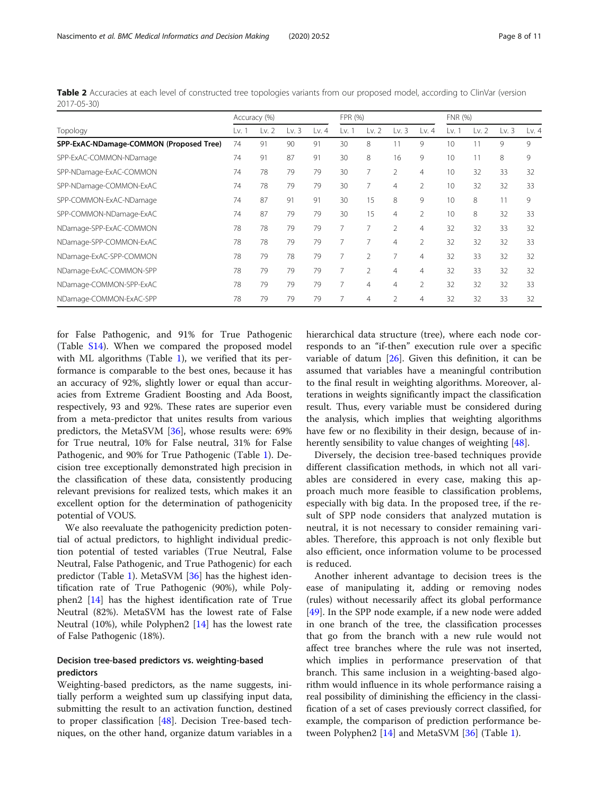for False Pathogenic, and 91% for True Pathogenic (Table [S14\)](#page-9-0). When we compared the proposed model with ML algorithms (Table [1](#page-3-0)), we verified that its performance is comparable to the best ones, because it has an accuracy of 92%, slightly lower or equal than accuracies from Extreme Gradient Boosting and Ada Boost, respectively, 93 and 92%. These rates are superior even from a meta-predictor that unites results from various predictors, the MetaSVM [[36](#page-10-0)], whose results were: 69% for True neutral, 10% for False neutral, 31% for False Pathogenic, and 90% for True Pathogenic (Table [1\)](#page-3-0). Decision tree exceptionally demonstrated high precision in the classification of these data, consistently producing relevant previsions for realized tests, which makes it an excellent option for the determination of pathogenicity potential of VOUS.

We also reevaluate the pathogenicity prediction potential of actual predictors, to highlight individual prediction potential of tested variables (True Neutral, False Neutral, False Pathogenic, and True Pathogenic) for each predictor (Table [1](#page-3-0)). MetaSVM [\[36](#page-10-0)] has the highest identification rate of True Pathogenic (90%), while Polyphen2 [\[14\]](#page-10-0) has the highest identification rate of True Neutral (82%). MetaSVM has the lowest rate of False Neutral (10%), while Polyphen2 [\[14\]](#page-10-0) has the lowest rate of False Pathogenic (18%).

## Decision tree-based predictors vs. weighting-based predictors

Weighting-based predictors, as the name suggests, initially perform a weighted sum up classifying input data, submitting the result to an activation function, destined to proper classification [[48](#page-10-0)]. Decision Tree-based techniques, on the other hand, organize datum variables in a hierarchical data structure (tree), where each node corresponds to an "if-then" execution rule over a specific variable of datum  $[26]$ . Given this definition, it can be assumed that variables have a meaningful contribution to the final result in weighting algorithms. Moreover, alterations in weights significantly impact the classification result. Thus, every variable must be considered during the analysis, which implies that weighting algorithms have few or no flexibility in their design, because of in-herently sensibility to value changes of weighting [[48](#page-10-0)].

Diversely, the decision tree-based techniques provide different classification methods, in which not all variables are considered in every case, making this approach much more feasible to classification problems, especially with big data. In the proposed tree, if the result of SPP node considers that analyzed mutation is neutral, it is not necessary to consider remaining variables. Therefore, this approach is not only flexible but also efficient, once information volume to be processed is reduced.

Another inherent advantage to decision trees is the ease of manipulating it, adding or removing nodes (rules) without necessarily affect its global performance [[49\]](#page-10-0). In the SPP node example, if a new node were added in one branch of the tree, the classification processes that go from the branch with a new rule would not affect tree branches where the rule was not inserted, which implies in performance preservation of that branch. This same inclusion in a weighting-based algorithm would influence in its whole performance raising a real possibility of diminishing the efficiency in the classification of a set of cases previously correct classified, for example, the comparison of prediction performance between Polyphen2 [[14\]](#page-10-0) and MetaSVM [[36\]](#page-10-0) (Table [1\)](#page-3-0).

<span id="page-7-0"></span>Table 2 Accuracies at each level of constructed tree topologies variants from our proposed model, according to ClinVar (version 2017-05-30)

|                                         | Accuracy (%) |         |       |         | FPR (%) |                |                |                | FNR (%) |         |         |       |
|-----------------------------------------|--------------|---------|-------|---------|---------|----------------|----------------|----------------|---------|---------|---------|-------|
| Topology                                | Lv. 1        | Lv. $2$ | Lv. 3 | Lv. $4$ | Lv.     | Lv. $2$        | Lv. $3$        | Lv. 4          | Lv. 1   | Lv. $2$ | Lv. $3$ | Lv. 4 |
| SPP-ExAC-NDamage-COMMON (Proposed Tree) | 74           | 91      | 90    | 91      | 30      | 8              | 11             | 9              | 10      | 11      | 9       | 9     |
| SPP-ExAC-COMMON-NDamage                 |              | 91      | 87    | 91      | 30      | 8              | 16             | 9              | 10      | 11      | 8       | 9     |
| SPP-NDamage-ExAC-COMMON                 |              | 78      | 79    | 79      | 30      | 7              | $\overline{2}$ | 4              | 10      | 32      | 33      | 32    |
| SPP-NDamage-COMMON-ExAC                 |              | 78      | 79    | 79      | 30      | 7              | $\overline{4}$ | $\overline{2}$ | 10      | 32      | 32      | 33    |
| SPP-COMMON-ExAC-NDamage                 | 74           | 87      | 91    | 91      | 30      | 15             | 8              | 9              | 10      | 8       | 11      | 9     |
| SPP-COMMON-NDamage-ExAC                 |              | 87      | 79    | 79      | 30      | 15             | $\overline{4}$ | $\overline{2}$ | 10      | 8       | 32      | 33    |
| NDamage-SPP-ExAC-COMMON                 |              | 78      | 79    | 79      | 7       | 7              | $\overline{2}$ | 4              | 32      | 32      | 33      | 32    |
| NDamage-SPP-COMMON-ExAC                 | 78           | 78      | 79    | 79      | 7       | 7              | $\overline{4}$ | $\overline{2}$ | 32      | 32      | 32      | 33    |
| NDamage-ExAC-SPP-COMMON                 | 78           | 79      | 78    | 79      |         | 2              | 7              | 4              | 32      | 33      | 32      | 32    |
| NDamage-ExAC-COMMON-SPP                 | 78           | 79      | 79    | 79      | 7       | $\overline{2}$ | $\overline{4}$ | 4              | 32      | 33      | 32      | 32    |
| NDamage-COMMON-SPP-ExAC                 | 78           | 79      | 79    | 79      | 7       | 4              | $\overline{4}$ | $\overline{2}$ | 32      | 32      | 32      | 33    |
| NDamage-COMMON-ExAC-SPP                 | 78           | 79      | 79    | 79      |         | 4              | 2              | 4              | 32      | 32      | 33      | 32    |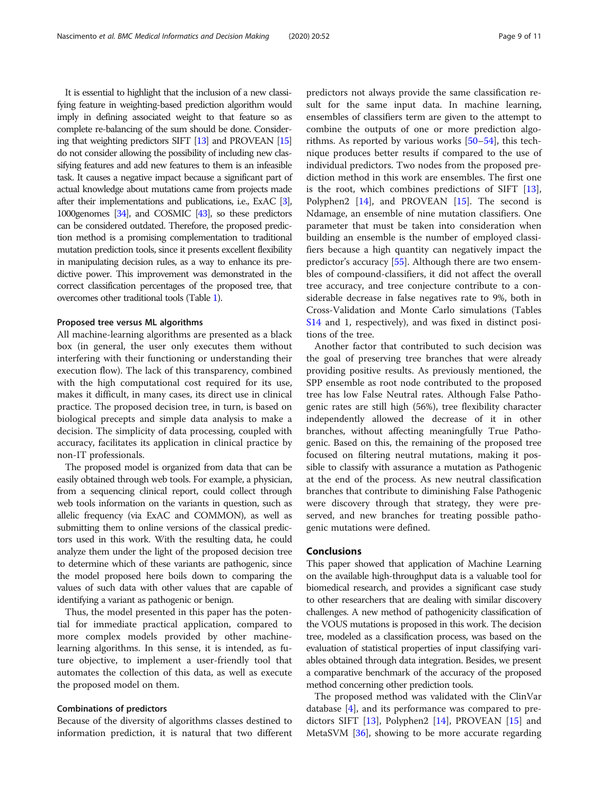It is essential to highlight that the inclusion of a new classifying feature in weighting-based prediction algorithm would imply in defining associated weight to that feature so as complete re-balancing of the sum should be done. Considering that weighting predictors SIFT [\[13\]](#page-10-0) and PROVEAN [\[15](#page-10-0)] do not consider allowing the possibility of including new classifying features and add new features to them is an infeasible task. It causes a negative impact because a significant part of actual knowledge about mutations came from projects made after their implementations and publications, i.e., ExAC [\[3\]](#page-9-0), 1000genomes [\[34](#page-10-0)], and COSMIC [\[43](#page-10-0)], so these predictors can be considered outdated. Therefore, the proposed prediction method is a promising complementation to traditional mutation prediction tools, since it presents excellent flexibility in manipulating decision rules, as a way to enhance its predictive power. This improvement was demonstrated in the correct classification percentages of the proposed tree, that overcomes other traditional tools (Table [1](#page-3-0)).

### Proposed tree versus ML algorithms

All machine-learning algorithms are presented as a black box (in general, the user only executes them without interfering with their functioning or understanding their execution flow). The lack of this transparency, combined with the high computational cost required for its use, makes it difficult, in many cases, its direct use in clinical practice. The proposed decision tree, in turn, is based on biological precepts and simple data analysis to make a decision. The simplicity of data processing, coupled with accuracy, facilitates its application in clinical practice by non-IT professionals.

The proposed model is organized from data that can be easily obtained through web tools. For example, a physician, from a sequencing clinical report, could collect through web tools information on the variants in question, such as allelic frequency (via ExAC and COMMON), as well as submitting them to online versions of the classical predictors used in this work. With the resulting data, he could analyze them under the light of the proposed decision tree to determine which of these variants are pathogenic, since the model proposed here boils down to comparing the values of such data with other values that are capable of identifying a variant as pathogenic or benign.

Thus, the model presented in this paper has the potential for immediate practical application, compared to more complex models provided by other machinelearning algorithms. In this sense, it is intended, as future objective, to implement a user-friendly tool that automates the collection of this data, as well as execute the proposed model on them.

#### Combinations of predictors

Because of the diversity of algorithms classes destined to information prediction, it is natural that two different predictors not always provide the same classification result for the same input data. In machine learning, ensembles of classifiers term are given to the attempt to combine the outputs of one or more prediction algorithms. As reported by various works [\[50](#page-10-0)–[54\]](#page-10-0), this technique produces better results if compared to the use of individual predictors. Two nodes from the proposed prediction method in this work are ensembles. The first one is the root, which combines predictions of SIFT [\[13](#page-10-0)], Polyphen2 [[14\]](#page-10-0), and PROVEAN [\[15](#page-10-0)]. The second is Ndamage, an ensemble of nine mutation classifiers. One parameter that must be taken into consideration when building an ensemble is the number of employed classifiers because a high quantity can negatively impact the predictor's accuracy [\[55](#page-10-0)]. Although there are two ensembles of compound-classifiers, it did not affect the overall tree accuracy, and tree conjecture contribute to a considerable decrease in false negatives rate to 9%, both in Cross-Validation and Monte Carlo simulations (Tables [S14](#page-9-0) and 1, respectively), and was fixed in distinct positions of the tree.

Another factor that contributed to such decision was the goal of preserving tree branches that were already providing positive results. As previously mentioned, the SPP ensemble as root node contributed to the proposed tree has low False Neutral rates. Although False Pathogenic rates are still high (56%), tree flexibility character independently allowed the decrease of it in other branches, without affecting meaningfully True Pathogenic. Based on this, the remaining of the proposed tree focused on filtering neutral mutations, making it possible to classify with assurance a mutation as Pathogenic at the end of the process. As new neutral classification branches that contribute to diminishing False Pathogenic were discovery through that strategy, they were preserved, and new branches for treating possible pathogenic mutations were defined.

#### Conclusions

This paper showed that application of Machine Learning on the available high-throughput data is a valuable tool for biomedical research, and provides a significant case study to other researchers that are dealing with similar discovery challenges. A new method of pathogenicity classification of the VOUS mutations is proposed in this work. The decision tree, modeled as a classification process, was based on the evaluation of statistical properties of input classifying variables obtained through data integration. Besides, we present a comparative benchmark of the accuracy of the proposed method concerning other prediction tools.

The proposed method was validated with the ClinVar database [\[4](#page-9-0)], and its performance was compared to predictors SIFT [\[13](#page-10-0)], Polyphen2 [[14\]](#page-10-0), PROVEAN [\[15](#page-10-0)] and MetaSVM [[36\]](#page-10-0), showing to be more accurate regarding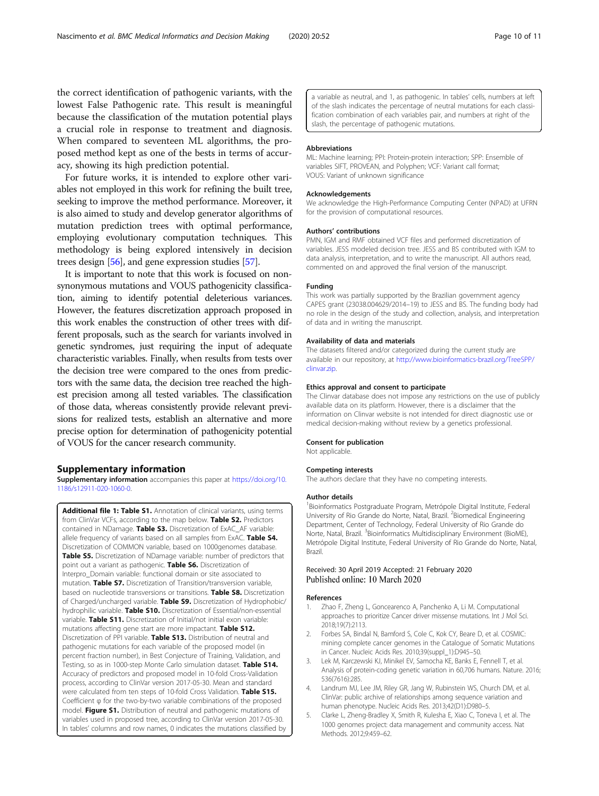<span id="page-9-0"></span>the correct identification of pathogenic variants, with the lowest False Pathogenic rate. This result is meaningful because the classification of the mutation potential plays a crucial role in response to treatment and diagnosis. When compared to seventeen ML algorithms, the proposed method kept as one of the bests in terms of accuracy, showing its high prediction potential.

For future works, it is intended to explore other variables not employed in this work for refining the built tree, seeking to improve the method performance. Moreover, it is also aimed to study and develop generator algorithms of mutation prediction trees with optimal performance, employing evolutionary computation techniques. This methodology is being explored intensively in decision trees design [[56](#page-10-0)], and gene expression studies [[57](#page-10-0)].

It is important to note that this work is focused on nonsynonymous mutations and VOUS pathogenicity classification, aiming to identify potential deleterious variances. However, the features discretization approach proposed in this work enables the construction of other trees with different proposals, such as the search for variants involved in genetic syndromes, just requiring the input of adequate characteristic variables. Finally, when results from tests over the decision tree were compared to the ones from predictors with the same data, the decision tree reached the highest precision among all tested variables. The classification of those data, whereas consistently provide relevant previsions for realized tests, establish an alternative and more precise option for determination of pathogenicity potential of VOUS for the cancer research community.

#### Supplementary information

Supplementary information accompanies this paper at [https://doi.org/10.](https://doi.org/10.1186/s12911-020-1060-0) [1186/s12911-020-1060-0.](https://doi.org/10.1186/s12911-020-1060-0)

Additional file 1: Table S1. Annotation of clinical variants, using terms from ClinVar VCFs, according to the map below. Table S2. Predictors contained in NDamage. Table S3. Discretization of ExAC\_AF variable: allele frequency of variants based on all samples from ExAC. Table S4. Discretization of COMMON variable, based on 1000genomes database. Table S5. Discretization of NDamage variable: number of predictors that point out a variant as pathogenic. Table S6. Discretization of Interpro\_Domain variable: functional domain or site associated to mutation. Table S7. Discretization of Transition/transversion variable, based on nucleotide transversions or transitions. Table S8. Discretization of Charged/uncharged variable. Table S9. Discretization of Hydrophobic/ hydrophilic variable. Table S10. Discretization of Essential/non-essential variable. Table S11. Discretization of Initial/not initial exon variable: mutations affecting gene start are more impactant. Table S12. Discretization of PPI variable. Table S13. Distribution of neutral and pathogenic mutations for each variable of the proposed model (in percent fraction number), in Best Conjecture of Training, Validation, and Testing, so as in 1000-step Monte Carlo simulation dataset. Table S14. Accuracy of predictors and proposed model in 10-fold Cross-Validation process, according to ClinVar version 2017-05-30. Mean and standard were calculated from ten steps of 10-fold Cross Validation. Table S15. Coefficient φ for the two-by-two variable combinations of the proposed model. Figure S1. Distribution of neutral and pathogenic mutations of variables used in proposed tree, according to ClinVar version 2017-05-30. In tables' columns and row names, 0 indicates the mutations classified by a variable as neutral, and 1, as pathogenic. In tables' cells, numbers at left of the slash indicates the percentage of neutral mutations for each classification combination of each variables pair, and numbers at right of the slash, the percentage of pathogenic mutations.

#### Abbreviations

ML: Machine learning; PPI: Protein-protein interaction; SPP: Ensemble of variables SIFT, PROVEAN, and Polyphen; VCF: Variant call format; VOUS: Variant of unknown significance

#### Acknowledgements

We acknowledge the High-Performance Computing Center (NPAD) at UFRN for the provision of computational resources.

#### Authors' contributions

PMN, IGM and RMF obtained VCF files and performed discretization of variables. JESS modeled decision tree. JESS and BS contributed with IGM to data analysis, interpretation, and to write the manuscript. All authors read, commented on and approved the final version of the manuscript.

#### Funding

This work was partially supported by the Brazilian government agency CAPES grant (23038.004629/2014–19) to JESS and BS. The funding body had no role in the design of the study and collection, analysis, and interpretation of data and in writing the manuscript.

#### Availability of data and materials

The datasets filtered and/or categorized during the current study are available in our repository, at [http://www.bioinformatics-brazil.org/TreeSPP/](http://www.bioinformatics-brazil.org/TreeSPP/clinvar.zip) [clinvar.zip.](http://www.bioinformatics-brazil.org/TreeSPP/clinvar.zip)

#### Ethics approval and consent to participate

The Clinvar database does not impose any restrictions on the use of publicly available data on its platform. However, there is a disclaimer that the information on Clinvar website is not intended for direct diagnostic use or medical decision-making without review by a genetics professional.

## Consent for publication

Not applicable.

#### Competing interests

The authors declare that they have no competing interests.

#### Author details

<sup>1</sup> Bioinformatics Postgraduate Program, Metrópole Digital Institute, Federal University of Rio Grande do Norte, Natal, Brazil. <sup>2</sup>Biomedical Engineering Department, Center of Technology, Federal University of Rio Grande do Norte, Natal, Brazil. <sup>3</sup>Bioinformatics Multidisciplinary Environment (BioME) Metrópole Digital Institute, Federal University of Rio Grande do Norte, Natal, Brazil.

#### Received: 30 April 2019 Accepted: 21 February 2020 Published online: 10 March 2020

#### References

- 1. Zhao F, Zheng L, Goncearenco A, Panchenko A, Li M. Computational approaches to prioritize Cancer driver missense mutations. Int J Mol Sci. 2018;19(7):2113.
- 2. Forbes SA, Bindal N, Bamford S, Cole C, Kok CY, Beare D, et al. COSMIC: mining complete cancer genomes in the Catalogue of Somatic Mutations in Cancer. Nucleic Acids Res. 2010;39(suppl\_1):D945–50.
- 3. Lek M, Karczewski KJ, Minikel EV, Samocha KE, Banks E, Fennell T, et al. Analysis of protein-coding genetic variation in 60,706 humans. Nature. 2016; 536(7616):285.
- 4. Landrum MJ, Lee JM, Riley GR, Jang W, Rubinstein WS, Church DM, et al. ClinVar: public archive of relationships among sequence variation and human phenotype. Nucleic Acids Res. 2013;42(D1):D980–5.
- 5. Clarke L, Zheng-Bradley X, Smith R, Kulesha E, Xiao C, Toneva I, et al. The 1000 genomes project: data management and community access. Nat Methods. 2012;9:459–62.